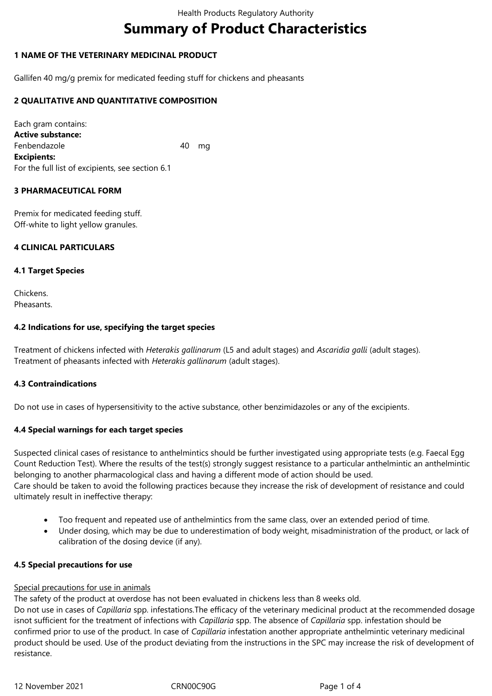# **Summary of Product Characteristics**

# **1 NAME OF THE VETERINARY MEDICINAL PRODUCT**

Gallifen 40 mg/g premix for medicated feeding stuff for chickens and pheasants

# **2 QUALITATIVE AND QUANTITATIVE COMPOSITION**

Each gram contains: **Active substance:** Fenbendazole 40 mg **Excipients:** For the full list of excipients, see section 6.1

## **3 PHARMACEUTICAL FORM**

Premix for medicated feeding stuff. Off-white to light yellow granules.

## **4 CLINICAL PARTICULARS**

## **4.1 Target Species**

Chickens. **Pheasants** 

## **4.2 Indications for use, specifying the target species**

Treatment of chickens infected with *Heterakis gallinarum* (L5 and adult stages) and *Ascaridia galli* (adult stages). Treatment of pheasants infected with *Heterakis gallinarum* (adult stages).

#### **4.3 Contraindications**

Do not use in cases of hypersensitivity to the active substance, other benzimidazoles or any of the excipients*.*

# **4.4 Special warnings for each target species**

Suspected clinical cases of resistance to anthelmintics should be further investigated using appropriate tests (e.g. Faecal Egg Count Reduction Test). Where the results of the test(s) strongly suggest resistance to a particular anthelmintic an anthelmintic belonging to another pharmacological class and having a different mode of action should be used. Care should be taken to avoid the following practices because they increase the risk of development of resistance and could ultimately result in ineffective therapy:

- Too frequent and repeated use of anthelmintics from the same class, over an extended period of time.
- Under dosing, which may be due to underestimation of body weight, misadministration of the product, or lack of calibration of the dosing device (if any).

#### **4.5 Special precautions for use**

#### Special precautions for use in animals

The safety of the product at overdose has not been evaluated in chickens less than 8 weeks old.

Do not use in cases of *Capillaria* spp. infestations.The efficacy of the veterinary medicinal product at the recommended dosage isnot sufficient for the treatment of infections with *Capillaria* spp. The absence of *Capillaria* spp. infestation should be confirmed prior to use of the product. In case of *Capillaria* infestation another appropriate anthelmintic veterinary medicinal product should be used. Use of the product deviating from the instructions in the SPC may increase the risk of development of resistance.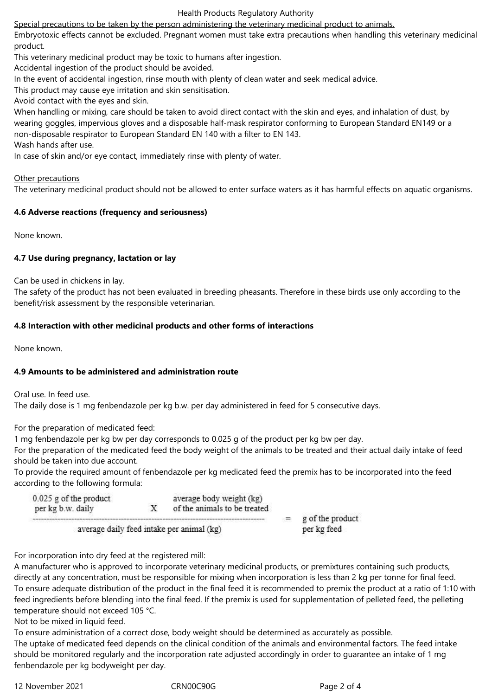#### Health Products Regulatory Authority

Special precautions to be taken by the person administering the veterinary medicinal product to animals.

Embryotoxic effects cannot be excluded. Pregnant women must take extra precautions when handling this veterinary medicinal product.

This veterinary medicinal product may be toxic to humans after ingestion.

Accidental ingestion of the product should be avoided.

In the event of accidental ingestion, rinse mouth with plenty of clean water and seek medical advice.

This product may cause eye irritation and skin sensitisation.

Avoid contact with the eyes and skin.

When handling or mixing, care should be taken to avoid direct contact with the skin and eyes, and inhalation of dust, by wearing goggles, impervious gloves and a disposable half-mask respirator conforming to European Standard EN149 or a non-disposable respirator to European Standard EN 140 with a filter to EN 143. Wash hands after use.

In case of skin and/or eye contact, immediately rinse with plenty of water.

#### Other precautions

The veterinary medicinal product should not be allowed to enter surface waters as it has harmful effects on aquatic organisms.

## **4.6 Adverse reactions (frequency and seriousness)**

None known.

## **4.7 Use during pregnancy, lactation or lay**

Can be used in chickens in lay.

The safety of the product has not been evaluated in breeding pheasants. Therefore in these birds use only according to the benefit/risk assessment by the responsible veterinarian.

## **4.8 Interaction with other medicinal products and other forms of interactions**

None known.

#### **4.9 Amounts to be administered and administration route**

Oral use. In feed use.

The daily dose is 1 mg fenbendazole per kg b.w. per day administered in feed for 5 consecutive days.

For the preparation of medicated feed:

1 mg fenbendazole per kg bw per day corresponds to 0.025 g of the product per kg bw per day.

For the preparation of the medicated feed the body weight of the animals to be treated and their actual daily intake of feed should be taken into due account.

To provide the required amount of fenbendazole per kg medicated feed the premix has to be incorporated into the feed according to the following formula:

| $0.025$ g of the product<br>per kg b.w. daily | X | average body weight (kg)<br>of the animals to be treated |  |
|-----------------------------------------------|---|----------------------------------------------------------|--|
| average daily feed intake per animal (kg)     |   | g of the product<br>per kg feed                          |  |

For incorporation into dry feed at the registered mill:

A manufacturer who is approved to incorporate veterinary medicinal products, or premixtures containing such products, directly at any concentration, must be responsible for mixing when incorporation is less than 2 kg per tonne for final feed. To ensure adequate distribution of the product in the final feed it is recommended to premix the product at a ratio of 1:10 with feed ingredients before blending into the final feed. If the premix is used for supplementation of pelleted feed, the pelleting temperature should not exceed 105 °C.

Not to be mixed in liquid feed.

To ensure administration of a correct dose, body weight should be determined as accurately as possible. The uptake of medicated feed depends on the clinical condition of the animals and environmental factors. The feed intake should be monitored regularly and the incorporation rate adjusted accordingly in order to guarantee an intake of 1 mg fenbendazole per kg bodyweight per day.

12 November 2021 CRN00C90G Page 2 of 4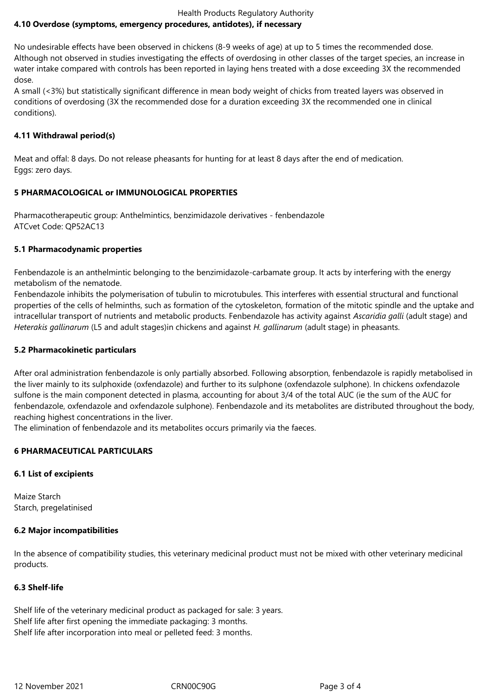#### Health Products Regulatory Authority **4.10 Overdose (symptoms, emergency procedures, antidotes), if necessary**

No undesirable effects have been observed in chickens (8-9 weeks of age) at up to 5 times the recommended dose. Although not observed in studies investigating the effects of overdosing in other classes of the target species, an increase in water intake compared with controls has been reported in laying hens treated with a dose exceeding 3X the recommended dose.

A small (<3%) but statistically significant difference in mean body weight of chicks from treated layers was observed in conditions of overdosing (3X the recommended dose for a duration exceeding 3X the recommended one in clinical conditions).

# **4.11 Withdrawal period(s)**

Meat and offal: 8 days. Do not release pheasants for hunting for at least 8 days after the end of medication. Eggs: zero days.

# **5 PHARMACOLOGICAL or IMMUNOLOGICAL PROPERTIES**

Pharmacotherapeutic group: Anthelmintics, benzimidazole derivatives - fenbendazole ATCvet Code: QP52AC13

# **5.1 Pharmacodynamic properties**

Fenbendazole is an anthelmintic belonging to the benzimidazole-carbamate group. It acts by interfering with the energy metabolism of the nematode.

Fenbendazole inhibits the polymerisation of tubulin to microtubules. This interferes with essential structural and functional properties of the cells of helminths, such as formation of the cytoskeleton, formation of the mitotic spindle and the uptake and intracellular transport of nutrients and metabolic products. Fenbendazole has activity against *Ascaridia galli* (adult stage) and *Heterakis gallinarum* (L5 and adult stages)in chickens and against *H. gallinarum* (adult stage) in pheasants.

# **5.2 Pharmacokinetic particulars**

After oral administration fenbendazole is only partially absorbed. Following absorption, fenbendazole is rapidly metabolised in the liver mainly to its sulphoxide (oxfendazole) and further to its sulphone (oxfendazole sulphone). In chickens oxfendazole sulfone is the main component detected in plasma, accounting for about 3/4 of the total AUC (ie the sum of the AUC for fenbendazole, oxfendazole and oxfendazole sulphone). Fenbendazole and its metabolites are distributed throughout the body, reaching highest concentrations in the liver.

The elimination of fenbendazole and its metabolites occurs primarily via the faeces.

# **6 PHARMACEUTICAL PARTICULARS**

# **6.1 List of excipients**

Maize Starch Starch, pregelatinised

# **6.2 Major incompatibilities**

In the absence of compatibility studies, this veterinary medicinal product must not be mixed with other veterinary medicinal products.

# **6.3 Shelf-life**

Shelf life of the veterinary medicinal product as packaged for sale: 3 years. Shelf life after first opening the immediate packaging: 3 months. Shelf life after incorporation into meal or pelleted feed: 3 months.